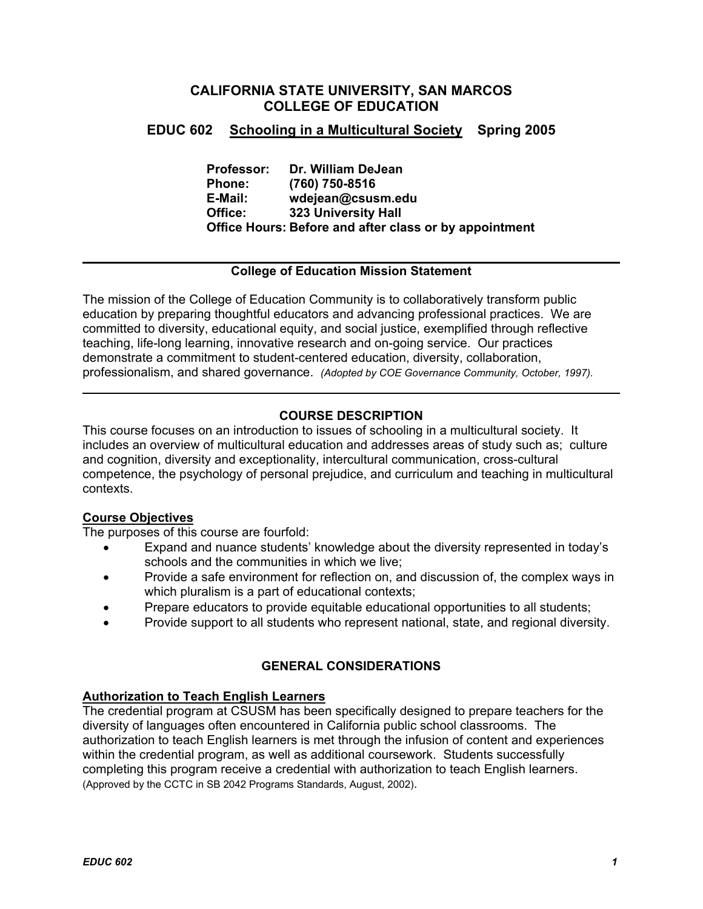# **CALIFORNIA STATE UNIVERSITY, SAN MARCOS COLLEGE OF EDUCATION**

# **EDUC 602 Schooling in a Multicultural Society Spring 2005**

**Professor: Dr. William DeJean Phone: (760) 750-8516 E-Mail: wdejean@csusm.edu Office: 323 University Hall Office Hours: Before and after class or by appointment** 

## **College of Education Mission Statement**

The mission of the College of Education Community is to collaboratively transform public education by preparing thoughtful educators and advancing professional practices. We are committed to diversity, educational equity, and social justice, exemplified through reflective teaching, life-long learning, innovative research and on-going service. Our practices demonstrate a commitment to student-centered education, diversity, collaboration, professionalism, and shared governance. *(Adopted by COE Governance Community, October, 1997).* 

# **COURSE DESCRIPTION**

This course focuses on an introduction to issues of schooling in a multicultural society. It includes an overview of multicultural education and addresses areas of study such as; culture and cognition, diversity and exceptionality, intercultural communication, cross-cultural competence, the psychology of personal prejudice, and curriculum and teaching in multicultural contexts.

# **Course Objectives**

The purposes of this course are fourfold:

- Expand and nuance students' knowledge about the diversity represented in today's schools and the communities in which we live;
- Provide a safe environment for reflection on, and discussion of, the complex ways in which pluralism is a part of educational contexts;
- Prepare educators to provide equitable educational opportunities to all students;
- Provide support to all students who represent national, state, and regional diversity.

# **GENERAL CONSIDERATIONS**

## **Authorization to Teach English Learners**

The credential program at CSUSM has been specifically designed to prepare teachers for the diversity of languages often encountered in California public school classrooms. The authorization to teach English learners is met through the infusion of content and experiences within the credential program, as well as additional coursework. Students successfully completing this program receive a credential with authorization to teach English learners. (Approved by the CCTC in SB 2042 Programs Standards, August, 2002).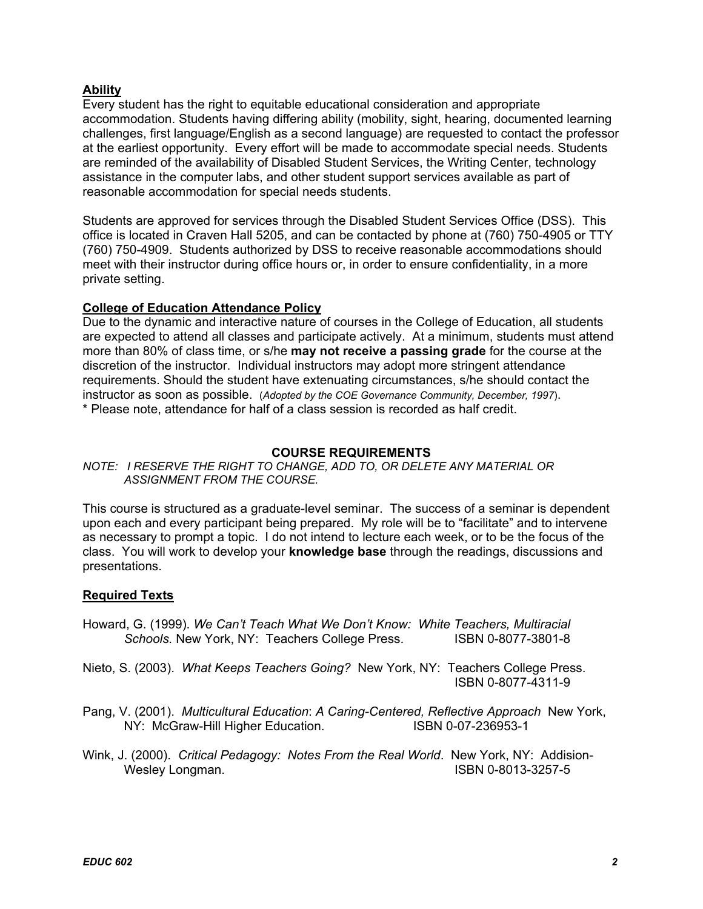# **Ability**

Every student has the right to equitable educational consideration and appropriate accommodation. Students having differing ability (mobility, sight, hearing, documented learning challenges, first language/English as a second language) are requested to contact the professor at the earliest opportunity. Every effort will be made to accommodate special needs. Students are reminded of the availability of Disabled Student Services, the Writing Center, technology assistance in the computer labs, and other student support services available as part of reasonable accommodation for special needs students.

Students are approved for services through the Disabled Student Services Office (DSS). This office is located in Craven Hall 5205, and can be contacted by phone at (760) 750-4905 or TTY (760) 750-4909. Students authorized by DSS to receive reasonable accommodations should meet with their instructor during office hours or, in order to ensure confidentiality, in a more private setting.

#### **College of Education Attendance Policy**

Due to the dynamic and interactive nature of courses in the College of Education, all students are expected to attend all classes and participate actively. At a minimum, students must attend more than 80% of class time, or s/he **may not receive a passing grade** for the course at the discretion of the instructor. Individual instructors may adopt more stringent attendance requirements. Should the student have extenuating circumstances, s/he should contact the instructor as soon as possible. (*Adopted by the COE Governance Community, December, 1997*). \* Please note, attendance for half of a class session is recorded as half credit.

#### **COURSE REQUIREMENTS**

*NOTE: I RESERVE THE RIGHT TO CHANGE, ADD TO, OR DELETE ANY MATERIAL OR ASSIGNMENT FROM THE COURSE.*

This course is structured as a graduate-level seminar. The success of a seminar is dependent upon each and every participant being prepared. My role will be to "facilitate" and to intervene as necessary to prompt a topic. I do not intend to lecture each week, or to be the focus of the class. You will work to develop your **knowledge base** through the readings, discussions and presentations.

#### **Required Texts**

Howard, G. (1999). *We Can't Teach What We Don't Know: White Teachers, Multiracial*  Schools. New York, NY: Teachers College Press. **ISBN 0-8077-3801-8** 

Nieto, S. (2003). *What Keeps Teachers Going?* New York, NY: Teachers College Press. ISBN 0-8077-4311-9

Pang, V. (2001). *Multicultural Education*: *A Caring-Centered, Reflective Approach* New York, NY: McGraw-Hill Higher Education. ISBN 0-07-236953-1

Wink, J. (2000). *Critical Pedagogy: Notes From the Real World*. New York, NY: Addision-Wesley Longman. The same state of the state of the ISBN 0-8013-3257-5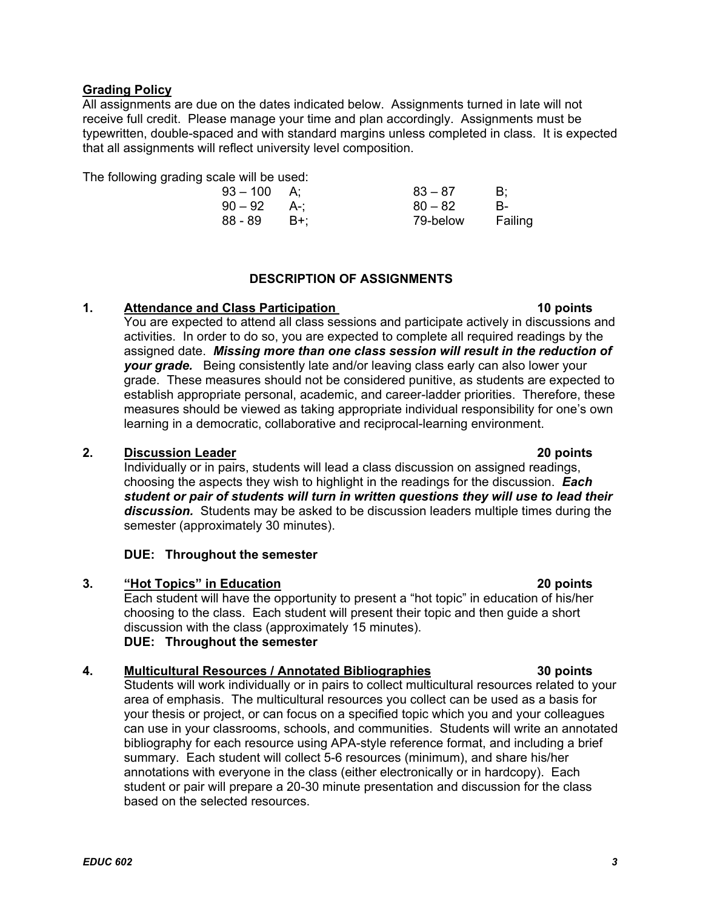## **Grading Policy**

All assignments are due on the dates indicated below. Assignments turned in late will not receive full credit. Please manage your time and plan accordingly. Assignments must be typewritten, double-spaced and with standard margins unless completed in class. It is expected that all assignments will reflect university level composition.

The following grading scale will be used:

| 93 – 100 | A:    | $83 - 87$ | B:      |
|----------|-------|-----------|---------|
| 90 – 92  | – A∹: | $80 - 82$ | В-      |
| 88 - 89  | – B+: | 79-below  | Failing |

# **DESCRIPTION OF ASSIGNMENTS**

# 1. Attendance and Class Participation **10 10** points

You are expected to attend all class sessions and participate actively in discussions and activities. In order to do so, you are expected to complete all required readings by the assigned date. *Missing more than one class session will result in the reduction of your grade.* Being consistently late and/or leaving class early can also lower your grade. These measures should not be considered punitive, as students are expected to establish appropriate personal, academic, and career-ladder priorities. Therefore, these measures should be viewed as taking appropriate individual responsibility for one's own learning in a democratic, collaborative and reciprocal-learning environment.

## **2. Discussion Leader 20 points**

Individually or in pairs, students will lead a class discussion on assigned readings, choosing the aspects they wish to highlight in the readings for the discussion. *Each student or pair of students will turn in written questions they will use to lead their discussion.* Students may be asked to be discussion leaders multiple times during the semester (approximately 30 minutes).

# **DUE: Throughout the semester**

# **3. "Hot Topics" in Education 20 points**

Each student will have the opportunity to present a "hot topic" in education of his/her choosing to the class. Each student will present their topic and then guide a short discussion with the class (approximately 15 minutes). **DUE: Throughout the semester** 

# **4. Multicultural Resources / Annotated Bibliographies 30 points**

Students will work individually or in pairs to collect multicultural resources related to your area of emphasis. The multicultural resources you collect can be used as a basis for your thesis or project, or can focus on a specified topic which you and your colleagues can use in your classrooms, schools, and communities. Students will write an annotated bibliography for each resource using APA-style reference format, and including a brief summary. Each student will collect 5-6 resources (minimum), and share his/her annotations with everyone in the class (either electronically or in hardcopy). Each student or pair will prepare a 20-30 minute presentation and discussion for the class based on the selected resources.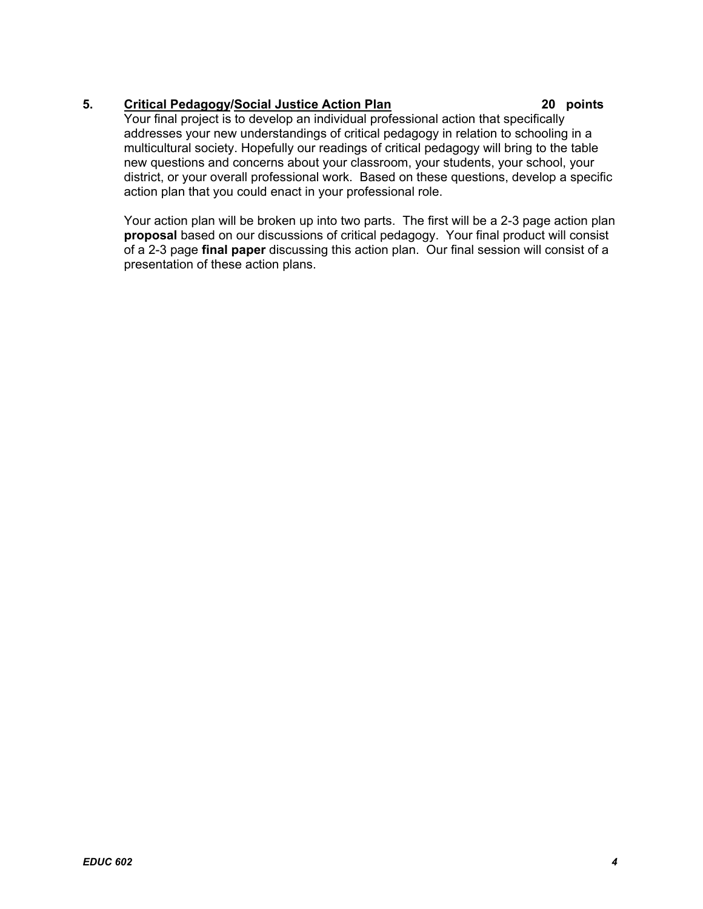# **5. Critical Pedagogy/Social Justice Action Plan 20 points**

Your final project is to develop an individual professional action that specifically addresses your new understandings of critical pedagogy in relation to schooling in a multicultural society. Hopefully our readings of critical pedagogy will bring to the table new questions and concerns about your classroom, your students, your school, your district, or your overall professional work. Based on these questions, develop a specific action plan that you could enact in your professional role.

Your action plan will be broken up into two parts. The first will be a 2-3 page action plan **proposal** based on our discussions of critical pedagogy. Your final product will consist of a 2-3 page **final paper** discussing this action plan. Our final session will consist of a presentation of these action plans.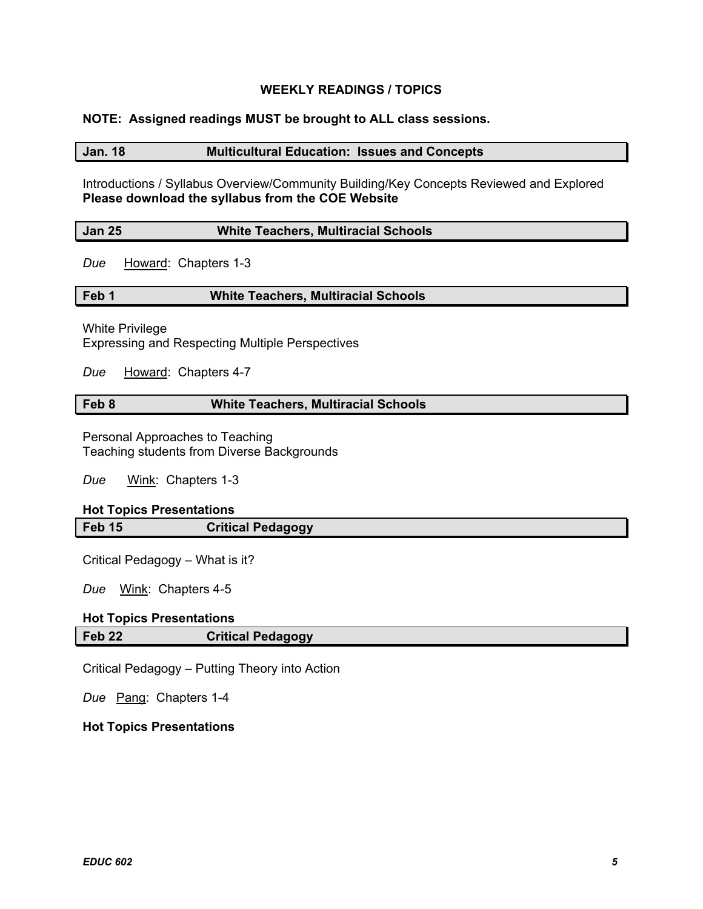#### **WEEKLY READINGS / TOPICS**

#### **NOTE: Assigned readings MUST be brought to ALL class sessions.**

## **Jan. 18 Multicultural Education: Issues and Concepts**

Introductions / Syllabus Overview/Community Building/Key Concepts Reviewed and Explored **Please download the syllabus from the COE Website** 

#### **Jan 25 White Teachers, Multiracial Schools**

*Due* Howard: Chapters 1-3

**Feb 1 White Teachers, Multiracial Schools** 

White Privilege Expressing and Respecting Multiple Perspectives

*Due* Howard: Chapters 4-7

#### **Feb 8 White Teachers, Multiracial Schools**

Personal Approaches to Teaching Teaching students from Diverse Backgrounds

*Due* Wink: Chapters 1-3

#### **Hot Topics Presentations**

**Feb 15 Critical Pedagogy** 

Critical Pedagogy – What is it?

*Due* Wink: Chapters 4-5

#### **Hot Topics Presentations**

| <b>Critical Pedagogy</b> |
|--------------------------|
|                          |
|                          |

Critical Pedagogy – Putting Theory into Action

*Due* Pang: Chapters 1-4

#### **Hot Topics Presentations**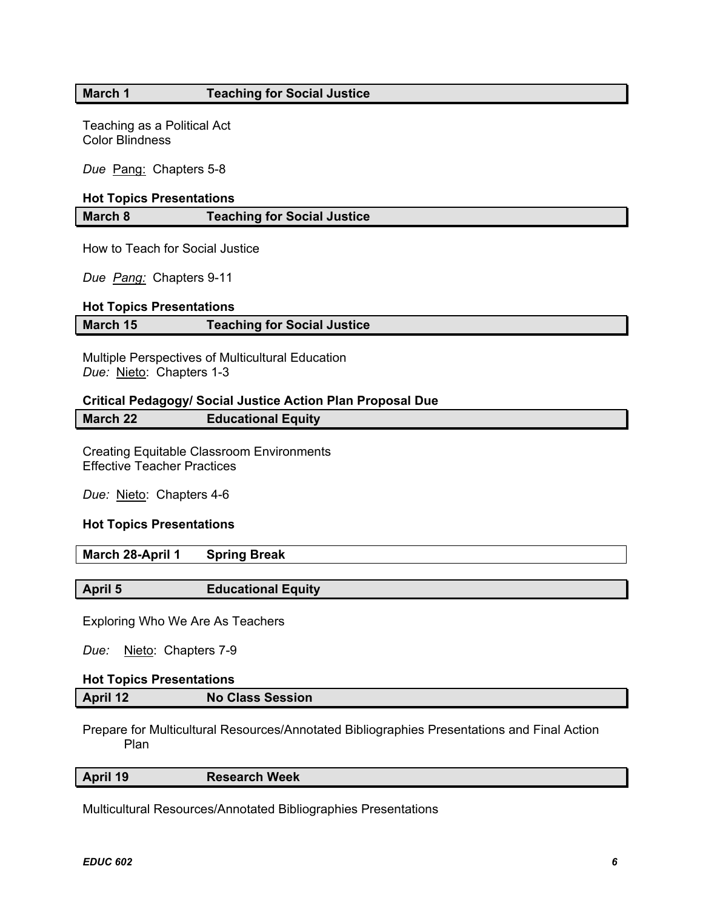## **March 1 Teaching for Social Justice**

Teaching as a Political Act Color Blindness

*Due* Pang: Chapters 5-8

#### **Hot Topics Presentations**

#### **March 8 Teaching for Social Justice**

How to Teach for Social Justice

*Due Pang:* Chapters 9-11

# **Hot Topics Presentations**

# **March 15 Teaching for Social Justice**

Multiple Perspectives of Multicultural Education *Due:* Nieto: Chapters 1-3

#### **Critical Pedagogy/ Social Justice Action Plan Proposal Due**

# **March 22 Educational Equity**

Creating Equitable Classroom Environments Effective Teacher Practices

*Due:* Nieto: Chapters 4-6

#### **Hot Topics Presentations**

#### **March 28-April 1 Spring Break**

#### **April 5 Educational Equity**

Exploring Who We Are As Teachers

*Due:* Nieto: Chapters 7-9

#### **Hot Topics Presentations**

Prepare for Multicultural Resources/Annotated Bibliographies Presentations and Final Action Plan

#### **April 19 Research Week**

Multicultural Resources/Annotated Bibliographies Presentations